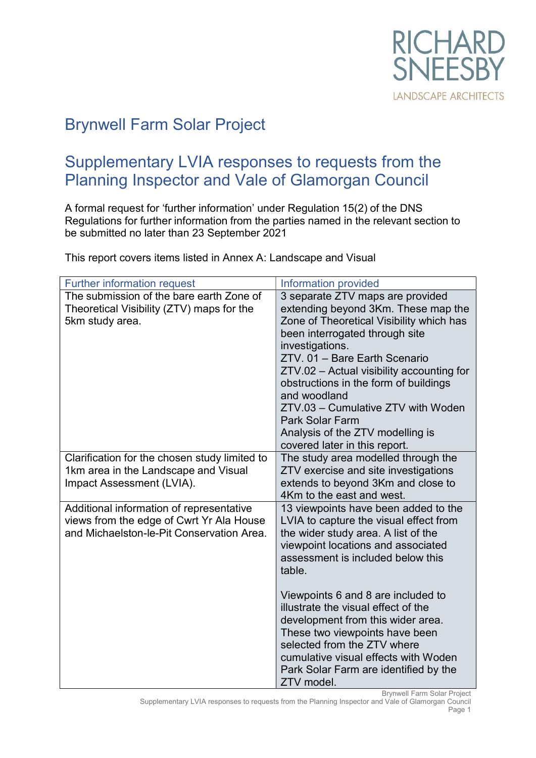

# Brynwell Farm Solar Project

## Supplementary LVIA responses to requests from the Planning Inspector and Vale of Glamorgan Council

A formal request for 'further information' under Regulation 15(2) of the DNS Regulations for further information from the parties named in the relevant section to be submitted no later than 23 September 2021

This report covers items listed in Annex A: Landscape and Visual

| <b>Further information request</b>                                                                                                | Information provided                                                                                                                                                                                                                                                                                                                                                                                                                                 |
|-----------------------------------------------------------------------------------------------------------------------------------|------------------------------------------------------------------------------------------------------------------------------------------------------------------------------------------------------------------------------------------------------------------------------------------------------------------------------------------------------------------------------------------------------------------------------------------------------|
| The submission of the bare earth Zone of<br>Theoretical Visibility (ZTV) maps for the<br>5km study area.                          | 3 separate ZTV maps are provided<br>extending beyond 3Km. These map the<br>Zone of Theoretical Visibility which has<br>been interrogated through site<br>investigations.<br>ZTV. 01 - Bare Earth Scenario<br>ZTV.02 - Actual visibility accounting for<br>obstructions in the form of buildings<br>and woodland<br>ZTV.03 - Cumulative ZTV with Woden<br><b>Park Solar Farm</b><br>Analysis of the ZTV modelling is<br>covered later in this report. |
| Clarification for the chosen study limited to<br>1km area in the Landscape and Visual<br>Impact Assessment (LVIA).                | The study area modelled through the<br>ZTV exercise and site investigations<br>extends to beyond 3Km and close to<br>4Km to the east and west.                                                                                                                                                                                                                                                                                                       |
| Additional information of representative<br>views from the edge of Cwrt Yr Ala House<br>and Michaelston-le-Pit Conservation Area. | 13 viewpoints have been added to the<br>LVIA to capture the visual effect from<br>the wider study area. A list of the<br>viewpoint locations and associated<br>assessment is included below this<br>table.                                                                                                                                                                                                                                           |
|                                                                                                                                   | Viewpoints 6 and 8 are included to<br>illustrate the visual effect of the<br>development from this wider area.<br>These two viewpoints have been<br>selected from the ZTV where<br>cumulative visual effects with Woden<br>Park Solar Farm are identified by the<br>ZTV model.                                                                                                                                                                       |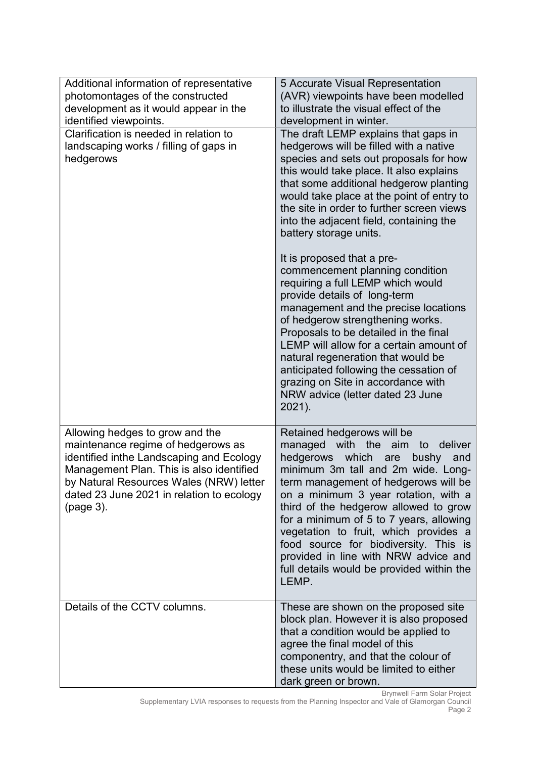| Additional information of representative<br>photomontages of the constructed<br>development as it would appear in the<br>identified viewpoints.                                                                                                                    | 5 Accurate Visual Representation<br>(AVR) viewpoints have been modelled<br>to illustrate the visual effect of the<br>development in winter.                                                                                                                                                                                                                                                                                                                                                                      |
|--------------------------------------------------------------------------------------------------------------------------------------------------------------------------------------------------------------------------------------------------------------------|------------------------------------------------------------------------------------------------------------------------------------------------------------------------------------------------------------------------------------------------------------------------------------------------------------------------------------------------------------------------------------------------------------------------------------------------------------------------------------------------------------------|
| Clarification is needed in relation to<br>landscaping works / filling of gaps in<br>hedgerows                                                                                                                                                                      | The draft LEMP explains that gaps in<br>hedgerows will be filled with a native<br>species and sets out proposals for how<br>this would take place. It also explains<br>that some additional hedgerow planting<br>would take place at the point of entry to<br>the site in order to further screen views<br>into the adjacent field, containing the<br>battery storage units.                                                                                                                                     |
|                                                                                                                                                                                                                                                                    | It is proposed that a pre-<br>commencement planning condition<br>requiring a full LEMP which would<br>provide details of long-term<br>management and the precise locations<br>of hedgerow strengthening works.<br>Proposals to be detailed in the final<br>LEMP will allow for a certain amount of<br>natural regeneration that would be<br>anticipated following the cessation of<br>grazing on Site in accordance with<br>NRW advice (letter dated 23 June<br>2021).                                           |
| Allowing hedges to grow and the<br>maintenance regime of hedgerows as<br>identified inthe Landscaping and Ecology<br>Management Plan. This is also identified<br>by Natural Resources Wales (NRW) letter<br>dated 23 June 2021 in relation to ecology<br>(page 3). | Retained hedgerows will be<br>managed<br>with<br>the<br>deliver<br>aim<br>to<br>hedgerows which<br>are<br>bushy<br>and<br>minimum 3m tall and 2m wide. Long-<br>term management of hedgerows will be<br>on a minimum 3 year rotation, with a<br>third of the hedgerow allowed to grow<br>for a minimum of 5 to 7 years, allowing<br>vegetation to fruit, which provides a<br>food source for biodiversity. This is<br>provided in line with NRW advice and<br>full details would be provided within the<br>LEMP. |
| Details of the CCTV columns.                                                                                                                                                                                                                                       | These are shown on the proposed site<br>block plan. However it is also proposed<br>that a condition would be applied to<br>agree the final model of this<br>componentry, and that the colour of<br>these units would be limited to either<br>dark green or brown.                                                                                                                                                                                                                                                |

Brynwell Farm Solar Project Supplementary LVIA responses to requests from the Planning Inspector and Vale of Glamorgan Council Page 2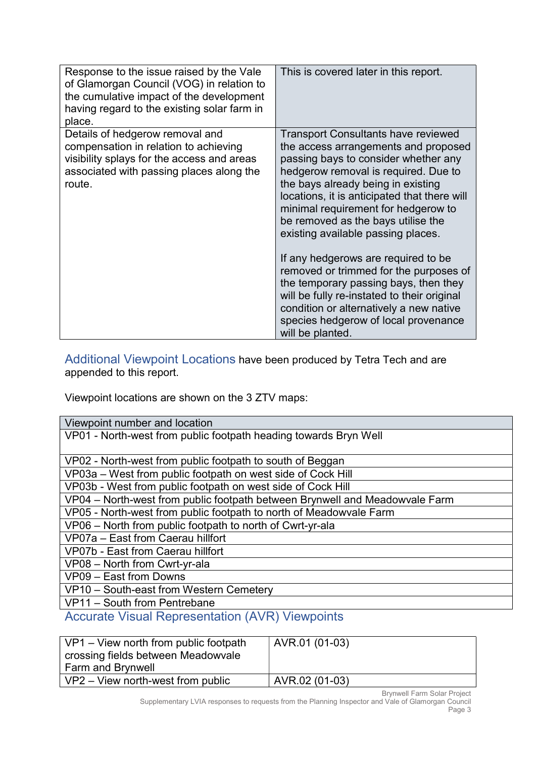| Response to the issue raised by the Vale<br>of Glamorgan Council (VOG) in relation to<br>the cumulative impact of the development<br>having regard to the existing solar farm in<br>place. | This is covered later in this report.                                                                                                                                                                                                                                                                                                                                       |
|--------------------------------------------------------------------------------------------------------------------------------------------------------------------------------------------|-----------------------------------------------------------------------------------------------------------------------------------------------------------------------------------------------------------------------------------------------------------------------------------------------------------------------------------------------------------------------------|
| Details of hedgerow removal and<br>compensation in relation to achieving<br>visibility splays for the access and areas<br>associated with passing places along the<br>route.               | <b>Transport Consultants have reviewed</b><br>the access arrangements and proposed<br>passing bays to consider whether any<br>hedgerow removal is required. Due to<br>the bays already being in existing<br>locations, it is anticipated that there will<br>minimal requirement for hedgerow to<br>be removed as the bays utilise the<br>existing available passing places. |
|                                                                                                                                                                                            | If any hedgerows are required to be<br>removed or trimmed for the purposes of<br>the temporary passing bays, then they<br>will be fully re-instated to their original<br>condition or alternatively a new native<br>species hedgerow of local provenance<br>will be planted.                                                                                                |

Additional Viewpoint Locations have been produced by Tetra Tech and are appended to this report.

Viewpoint locations are shown on the 3 ZTV maps:

| Viewpoint number and location                                               |  |  |
|-----------------------------------------------------------------------------|--|--|
| VP01 - North-west from public footpath heading towards Bryn Well            |  |  |
|                                                                             |  |  |
| VP02 - North-west from public footpath to south of Beggan                   |  |  |
| VP03a – West from public footpath on west side of Cock Hill                 |  |  |
| VP03b - West from public footpath on west side of Cock Hill                 |  |  |
| VP04 - North-west from public footpath between Brynwell and Meadowvale Farm |  |  |
| VP05 - North-west from public footpath to north of Meadowvale Farm          |  |  |
| VP06 - North from public footpath to north of Cwrt-yr-ala                   |  |  |
| VP07a - East from Caerau hillfort                                           |  |  |
| VP07b - East from Caerau hillfort                                           |  |  |
| VP08 - North from Cwrt-yr-ala                                               |  |  |
| VP09 - East from Downs                                                      |  |  |
| VP10 - South-east from Western Cemetery                                     |  |  |
| VP11 - South from Pentrebane                                                |  |  |
|                                                                             |  |  |

## Accurate Visual Representation (AVR) Viewpoints

| VP1 – View north from public footpath<br>े crossing fields between Meadowvale<br>Farm and Brynwell | AVR.01 (01-03) |
|----------------------------------------------------------------------------------------------------|----------------|
| $VP2 - View$ north-west from public                                                                | AVR.02 (01-03) |

Brynwell Farm Solar Project Supplementary LVIA responses to requests from the Planning Inspector and Vale of Glamorgan Council Page 3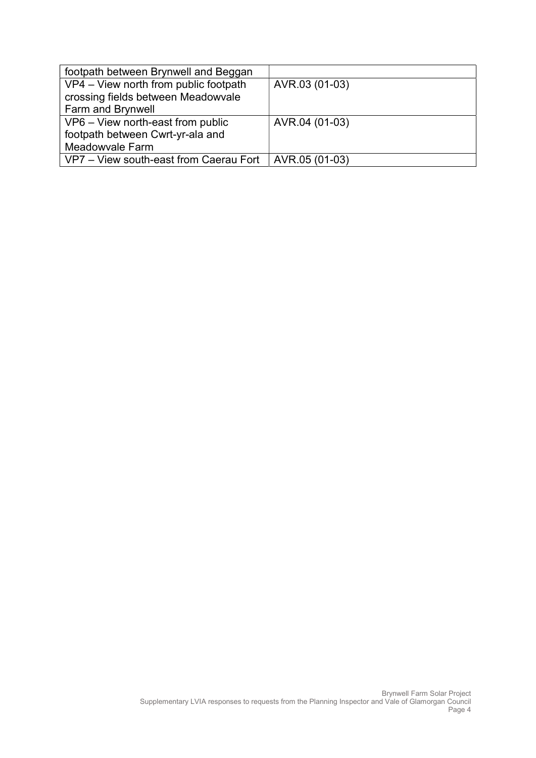| footpath between Brynwell and Beggan   |                |
|----------------------------------------|----------------|
| VP4 - View north from public footpath  | AVR.03 (01-03) |
| crossing fields between Meadowvale     |                |
| Farm and Brynwell                      |                |
| VP6 - View north-east from public      | AVR.04 (01-03) |
| footpath between Cwrt-yr-ala and       |                |
| Meadowvale Farm                        |                |
| VP7 - View south-east from Caerau Fort | AVR.05 (01-03) |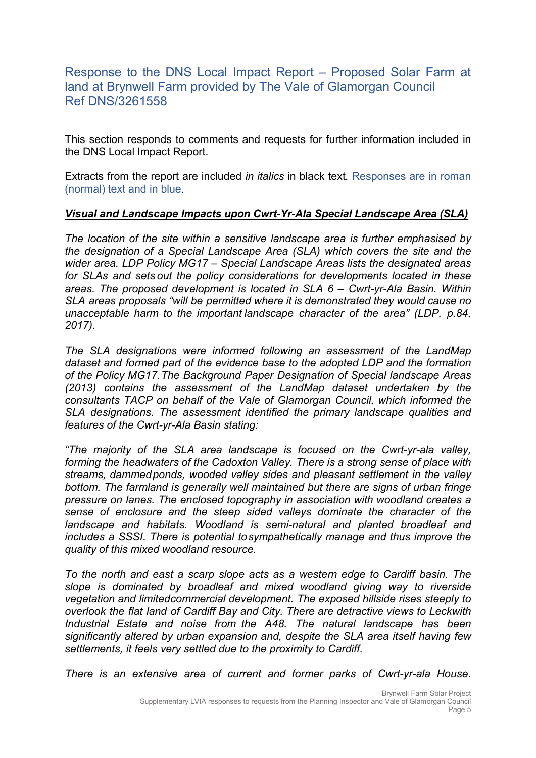### Response to the DNS Local Impact Report – Proposed Solar Farm at land at Brynwell Farm provided by The Vale of Glamorgan Council Ref DNS/3261558

This section responds to comments and requests for further information included in the DNS Local Impact Report.

Extracts from the report are included *in italics* in black text. Responses are in roman (normal) text and in blue.

#### Visual and Landscape Impacts upon Cwrt-Yr-Ala Special Landscape Area (SLA)

The location of the site within a sensitive landscape area is further emphasised by the designation of a Special Landscape Area (SLA) which covers the site and the wider area. LDP Policy MG17 – Special Landscape Areas lists the designated areas for SLAs and sets out the policy considerations for developments located in these areas. The proposed development is located in SLA 6 – Cwrt-yr-Ala Basin. Within SLA areas proposals "will be permitted where it is demonstrated they would cause no unacceptable harm to the important landscape character of the area" (LDP, p.84, 2017).

The SLA designations were informed following an assessment of the LandMap dataset and formed part of the evidence base to the adopted LDP and the formation of the Policy MG17. The Background Paper Designation of Special landscape Areas (2013) contains the assessment of the LandMap dataset undertaken by the consultants TACP on behalf of the Vale of Glamorgan Council, which informed the SLA designations. The assessment identified the primary landscape qualities and features of the Cwrt-yr-Ala Basin stating:

"The majority of the SLA area landscape is focused on the Cwrt-yr-ala valley, forming the headwaters of the Cadoxton Valley. There is a strong sense of place with streams, dammed ponds, wooded valley sides and pleasant settlement in the valley bottom. The farmland is generally well maintained but there are signs of urban fringe pressure on lanes. The enclosed topography in association with woodland creates a sense of enclosure and the steep sided valleys dominate the character of the landscape and habitats. Woodland is semi-natural and planted broadleaf and includes a SSSI. There is potential to sympathetically manage and thus improve the quality of this mixed woodland resource.

To the north and east a scarp slope acts as a western edge to Cardiff basin. The slope is dominated by broadleaf and mixed woodland giving way to riverside vegetation and limited commercial development. The exposed hillside rises steeply to overlook the flat land of Cardiff Bay and City. There are detractive views to Leckwith Industrial Estate and noise from the A48. The natural landscape has been significantly altered by urban expansion and, despite the SLA area itself having few settlements, it feels very settled due to the proximity to Cardiff.

There is an extensive area of current and former parks of Cwrt-yr-ala House.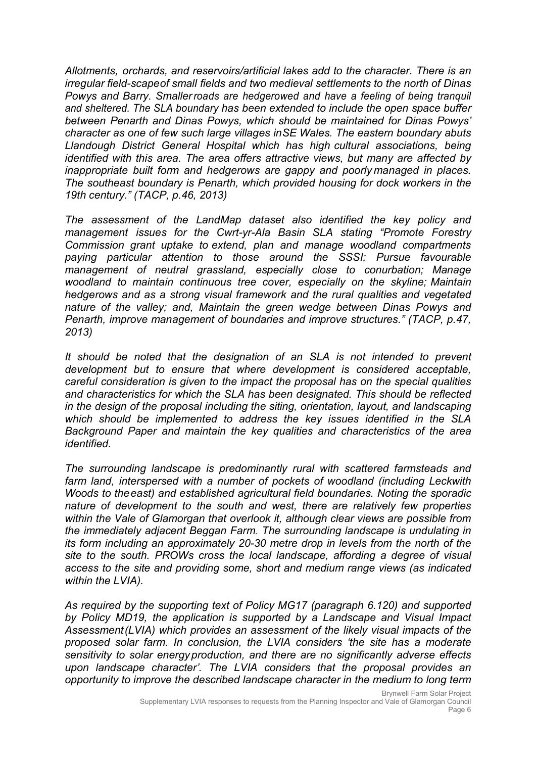Allotments, orchards, and reservoirs/artificial lakes add to the character. There is an irregular field-scape of small fields and two medieval settlements to the north of Dinas Powys and Barry. Smaller roads are hedgerowed and have a feeling of being tranquil and sheltered. The SLA boundary has been extended to include the open space buffer between Penarth and Dinas Powys, which should be maintained for Dinas Powys' character as one of few such large villages in SE Wales. The eastern boundary abuts Llandough District General Hospital which has high cultural associations, being identified with this area. The area offers attractive views, but many are affected by inappropriate built form and hedgerows are gappy and poorly managed in places. The southeast boundary is Penarth, which provided housing for dock workers in the 19th century." (TACP, p.46, 2013)

The assessment of the LandMap dataset also identified the key policy and management issues for the Cwrt-yr-Ala Basin SLA stating "Promote Forestry Commission grant uptake to extend, plan and manage woodland compartments paying particular attention to those around the SSSI; Pursue favourable management of neutral grassland, especially close to conurbation; Manage woodland to maintain continuous tree cover, especially on the skyline; Maintain hedgerows and as a strong visual framework and the rural qualities and vegetated nature of the valley; and, Maintain the green wedge between Dinas Powys and Penarth, improve management of boundaries and improve structures." (TACP, p.47, 2013)

It should be noted that the designation of an SLA is not intended to prevent development but to ensure that where development is considered acceptable, careful consideration is given to the impact the proposal has on the special qualities and characteristics for which the SLA has been designated. This should be reflected in the design of the proposal including the siting, orientation, layout, and landscaping which should be implemented to address the key issues identified in the SLA Background Paper and maintain the key qualities and characteristics of the area identified.

The surrounding landscape is predominantly rural with scattered farmsteads and farm land, interspersed with a number of pockets of woodland (including Leckwith Woods to the east) and established agricultural field boundaries. Noting the sporadic nature of development to the south and west, there are relatively few properties within the Vale of Glamorgan that overlook it, although clear views are possible from the immediately adjacent Beggan Farm. The surrounding landscape is undulating in its form including an approximately 20-30 metre drop in levels from the north of the site to the south. PROWs cross the local landscape, affording a degree of visual access to the site and providing some, short and medium range views (as indicated within the LVIA).

As required by the supporting text of Policy MG17 (paragraph 6.120) and supported by Policy MD19, the application is supported by a Landscape and Visual Impact Assessment (LVIA) which provides an assessment of the likely visual impacts of the proposed solar farm. In conclusion, the LVIA considers 'the site has a moderate sensitivity to solar energy production, and there are no significantly adverse effects upon landscape character'. The LVIA considers that the proposal provides an opportunity to improve the described landscape character in the medium to long term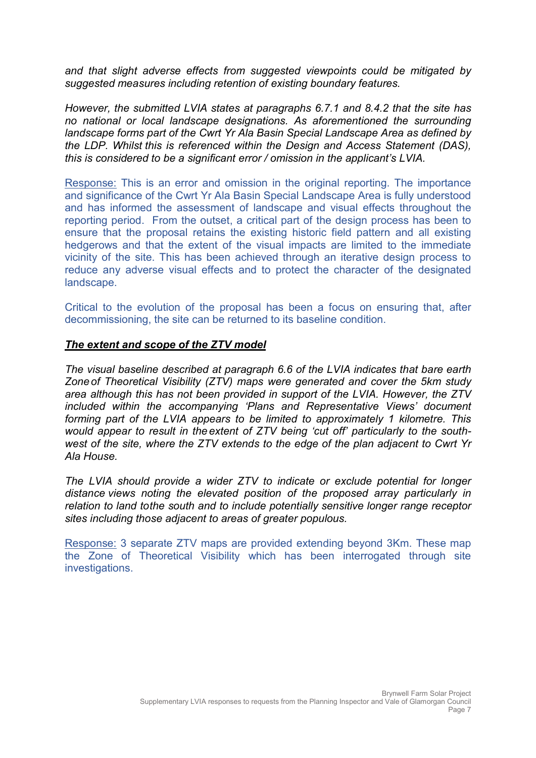and that slight adverse effects from suggested viewpoints could be mitigated by suggested measures including retention of existing boundary features.

However, the submitted LVIA states at paragraphs 6.7.1 and 8.4.2 that the site has no national or local landscape designations. As aforementioned the surrounding landscape forms part of the Cwrt Yr Ala Basin Special Landscape Area as defined by the LDP. Whilst this is referenced within the Design and Access Statement (DAS), this is considered to be a significant error / omission in the applicant's LVIA.

Response: This is an error and omission in the original reporting. The importance and significance of the Cwrt Yr Ala Basin Special Landscape Area is fully understood and has informed the assessment of landscape and visual effects throughout the reporting period. From the outset, a critical part of the design process has been to ensure that the proposal retains the existing historic field pattern and all existing hedgerows and that the extent of the visual impacts are limited to the immediate vicinity of the site. This has been achieved through an iterative design process to reduce any adverse visual effects and to protect the character of the designated landscape.

Critical to the evolution of the proposal has been a focus on ensuring that, after decommissioning, the site can be returned to its baseline condition.

#### The extent and scope of the ZTV model

The visual baseline described at paragraph 6.6 of the LVIA indicates that bare earth Zone of Theoretical Visibility (ZTV) maps were generated and cover the 5km study area although this has not been provided in support of the LVIA. However, the ZTV included within the accompanying 'Plans and Representative Views' document forming part of the LVIA appears to be limited to approximately 1 kilometre. This would appear to result in the extent of ZTV being 'cut off' particularly to the southwest of the site, where the ZTV extends to the edge of the plan adjacent to Cwrt Yr Ala House.

The LVIA should provide a wider ZTV to indicate or exclude potential for longer distance views noting the elevated position of the proposed array particularly in relation to land to the south and to include potentially sensitive longer range receptor sites including those adjacent to areas of greater populous.

Response: 3 separate ZTV maps are provided extending beyond 3Km. These map the Zone of Theoretical Visibility which has been interrogated through site investigations.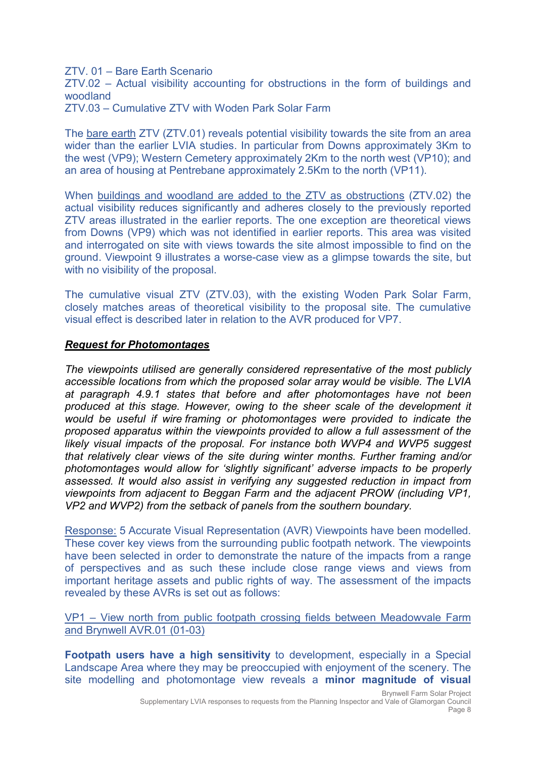ZTV. 01 – Bare Earth Scenario

ZTV.02 – Actual visibility accounting for obstructions in the form of buildings and woodland

ZTV.03 – Cumulative ZTV with Woden Park Solar Farm

The bare earth ZTV (ZTV.01) reveals potential visibility towards the site from an area wider than the earlier LVIA studies. In particular from Downs approximately 3Km to the west (VP9); Western Cemetery approximately 2Km to the north west (VP10); and an area of housing at Pentrebane approximately 2.5Km to the north (VP11).

When buildings and woodland are added to the ZTV as obstructions (ZTV.02) the actual visibility reduces significantly and adheres closely to the previously reported ZTV areas illustrated in the earlier reports. The one exception are theoretical views from Downs (VP9) which was not identified in earlier reports. This area was visited and interrogated on site with views towards the site almost impossible to find on the ground. Viewpoint 9 illustrates a worse-case view as a glimpse towards the site, but with no visibility of the proposal.

The cumulative visual ZTV (ZTV.03), with the existing Woden Park Solar Farm, closely matches areas of theoretical visibility to the proposal site. The cumulative visual effect is described later in relation to the AVR produced for VP7.

#### Request for Photomontages

The viewpoints utilised are generally considered representative of the most publicly accessible locations from which the proposed solar array would be visible. The LVIA at paragraph 4.9.1 states that before and after photomontages have not been produced at this stage. However, owing to the sheer scale of the development it would be useful if wire framing or photomontages were provided to indicate the proposed apparatus within the viewpoints provided to allow a full assessment of the likely visual impacts of the proposal. For instance both WVP4 and WVP5 suggest that relatively clear views of the site during winter months. Further framing and/or photomontages would allow for 'slightly significant' adverse impacts to be properly assessed. It would also assist in verifying any suggested reduction in impact from viewpoints from adjacent to Beggan Farm and the adjacent PROW (including VP1, VP2 and WVP2) from the setback of panels from the southern boundary.

Response: 5 Accurate Visual Representation (AVR) Viewpoints have been modelled. These cover key views from the surrounding public footpath network. The viewpoints have been selected in order to demonstrate the nature of the impacts from a range of perspectives and as such these include close range views and views from important heritage assets and public rights of way. The assessment of the impacts revealed by these AVRs is set out as follows:

VP1 – View north from public footpath crossing fields between Meadowvale Farm and Brynwell AVR.01 (01-03)

Footpath users have a high sensitivity to development, especially in a Special Landscape Area where they may be preoccupied with enjoyment of the scenery. The site modelling and photomontage view reveals a minor magnitude of visual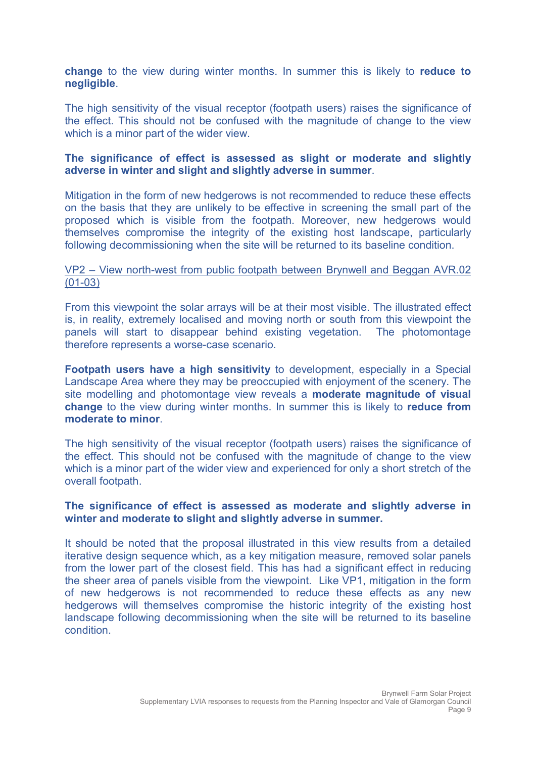change to the view during winter months. In summer this is likely to reduce to negligible.

The high sensitivity of the visual receptor (footpath users) raises the significance of the effect. This should not be confused with the magnitude of change to the view which is a minor part of the wider view.

#### The significance of effect is assessed as slight or moderate and slightly adverse in winter and slight and slightly adverse in summer.

Mitigation in the form of new hedgerows is not recommended to reduce these effects on the basis that they are unlikely to be effective in screening the small part of the proposed which is visible from the footpath. Moreover, new hedgerows would themselves compromise the integrity of the existing host landscape, particularly following decommissioning when the site will be returned to its baseline condition.

#### VP2 – View north-west from public footpath between Brynwell and Beggan AVR.02 (01-03)

From this viewpoint the solar arrays will be at their most visible. The illustrated effect is, in reality, extremely localised and moving north or south from this viewpoint the panels will start to disappear behind existing vegetation. The photomontage therefore represents a worse-case scenario.

Footpath users have a high sensitivity to development, especially in a Special Landscape Area where they may be preoccupied with enjoyment of the scenery. The site modelling and photomontage view reveals a **moderate magnitude of visual** change to the view during winter months. In summer this is likely to reduce from moderate to minor.

The high sensitivity of the visual receptor (footpath users) raises the significance of the effect. This should not be confused with the magnitude of change to the view which is a minor part of the wider view and experienced for only a short stretch of the overall footpath.

#### The significance of effect is assessed as moderate and slightly adverse in winter and moderate to slight and slightly adverse in summer.

It should be noted that the proposal illustrated in this view results from a detailed iterative design sequence which, as a key mitigation measure, removed solar panels from the lower part of the closest field. This has had a significant effect in reducing the sheer area of panels visible from the viewpoint. Like VP1, mitigation in the form of new hedgerows is not recommended to reduce these effects as any new hedgerows will themselves compromise the historic integrity of the existing host landscape following decommissioning when the site will be returned to its baseline condition.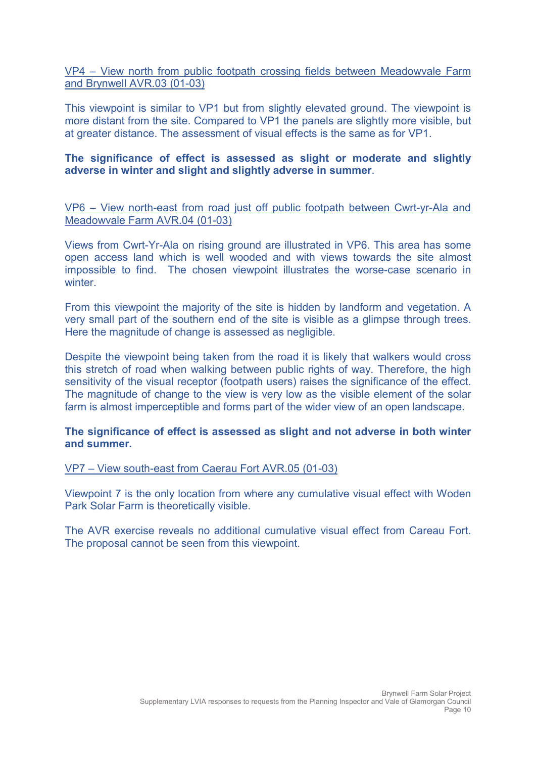VP4 – View north from public footpath crossing fields between Meadowvale Farm and Brynwell AVR.03 (01-03)

This viewpoint is similar to VP1 but from slightly elevated ground. The viewpoint is more distant from the site. Compared to VP1 the panels are slightly more visible, but at greater distance. The assessment of visual effects is the same as for VP1.

#### The significance of effect is assessed as slight or moderate and slightly adverse in winter and slight and slightly adverse in summer.

VP6 – View north-east from road just off public footpath between Cwrt-yr-Ala and Meadowvale Farm AVR.04 (01-03)

Views from Cwrt-Yr-Ala on rising ground are illustrated in VP6. This area has some open access land which is well wooded and with views towards the site almost impossible to find. The chosen viewpoint illustrates the worse-case scenario in winter

From this viewpoint the majority of the site is hidden by landform and vegetation. A very small part of the southern end of the site is visible as a glimpse through trees. Here the magnitude of change is assessed as negligible.

Despite the viewpoint being taken from the road it is likely that walkers would cross this stretch of road when walking between public rights of way. Therefore, the high sensitivity of the visual receptor (footpath users) raises the significance of the effect. The magnitude of change to the view is very low as the visible element of the solar farm is almost imperceptible and forms part of the wider view of an open landscape.

#### The significance of effect is assessed as slight and not adverse in both winter and summer.

#### VP7 – View south-east from Caerau Fort AVR.05 (01-03)

Viewpoint 7 is the only location from where any cumulative visual effect with Woden Park Solar Farm is theoretically visible.

The AVR exercise reveals no additional cumulative visual effect from Careau Fort. The proposal cannot be seen from this viewpoint.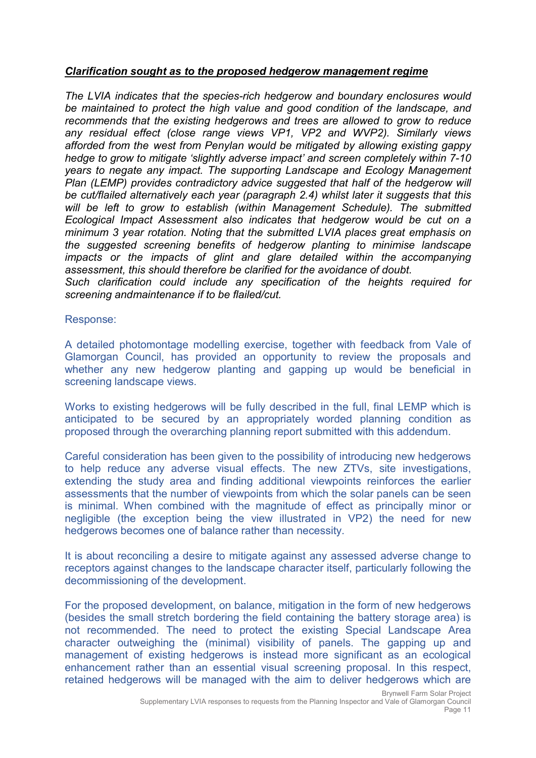#### Clarification sought as to the proposed hedgerow management regime

The LVIA indicates that the species-rich hedgerow and boundary enclosures would be maintained to protect the high value and good condition of the landscape, and recommends that the existing hedgerows and trees are allowed to grow to reduce any residual effect (close range views VP1, VP2 and WVP2). Similarly views afforded from the west from Penylan would be mitigated by allowing existing gappy hedge to grow to mitigate 'slightly adverse impact' and screen completely within 7-10 years to negate any impact. The supporting Landscape and Ecology Management Plan (LEMP) provides contradictory advice suggested that half of the hedgerow will be cut/flailed alternatively each year (paragraph 2.4) whilst later it suggests that this will be left to grow to establish (within Management Schedule). The submitted Ecological Impact Assessment also indicates that hedgerow would be cut on a minimum 3 year rotation. Noting that the submitted LVIA places great emphasis on the suggested screening benefits of hedgerow planting to minimise landscape impacts or the impacts of glint and glare detailed within the accompanying assessment, this should therefore be clarified for the avoidance of doubt.

Such clarification could include any specification of the heights required for screening and maintenance if to be flailed/cut.

Response:

A detailed photomontage modelling exercise, together with feedback from Vale of Glamorgan Council, has provided an opportunity to review the proposals and whether any new hedgerow planting and gapping up would be beneficial in screening landscape views.

Works to existing hedgerows will be fully described in the full, final LEMP which is anticipated to be secured by an appropriately worded planning condition as proposed through the overarching planning report submitted with this addendum.

Careful consideration has been given to the possibility of introducing new hedgerows to help reduce any adverse visual effects. The new ZTVs, site investigations, extending the study area and finding additional viewpoints reinforces the earlier assessments that the number of viewpoints from which the solar panels can be seen is minimal. When combined with the magnitude of effect as principally minor or negligible (the exception being the view illustrated in VP2) the need for new hedgerows becomes one of balance rather than necessity.

It is about reconciling a desire to mitigate against any assessed adverse change to receptors against changes to the landscape character itself, particularly following the decommissioning of the development.

For the proposed development, on balance, mitigation in the form of new hedgerows (besides the small stretch bordering the field containing the battery storage area) is not recommended. The need to protect the existing Special Landscape Area character outweighing the (minimal) visibility of panels. The gapping up and management of existing hedgerows is instead more significant as an ecological enhancement rather than an essential visual screening proposal. In this respect, retained hedgerows will be managed with the aim to deliver hedgerows which are